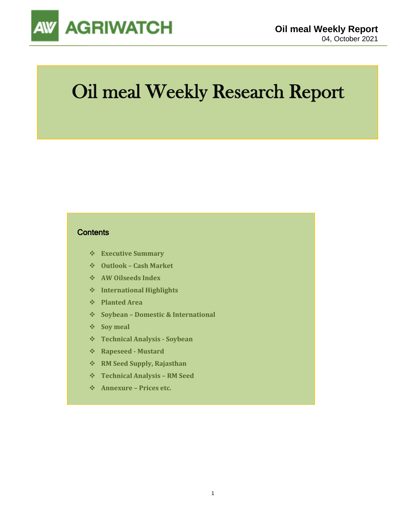

# Oil meal Weekly Research Report

### **Contents**

- ❖ **Executive Summary**
- ❖ **Outlook – Cash Market**
- ❖ **AW Oilseeds Index**
- ❖ **International Highlights**
- ❖ **Planted Area**
- ❖ **Soybean – Domestic & International**
- ❖ **Soy meal**
- ❖ **Technical Analysis - Soybean**
- ❖ **Rapeseed - Mustard**
- ❖ **RM Seed Supply, Rajasthan**
- ❖ **Technical Analysis – RM Seed**
- ❖ **Annexure – Prices etc.**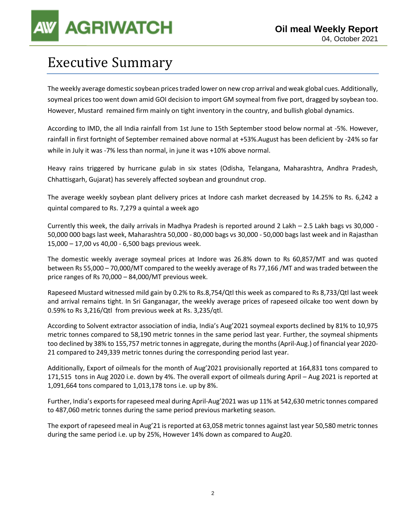## Executive Summary

The weekly average domestic soybean prices traded lower on new crop arrival and weak global cues. Additionally, soymeal prices too went down amid GOI decision to import GM soymeal from five port, dragged by soybean too. However, Mustard remained firm mainly on tight inventory in the country, and bullish global dynamics.

According to IMD, the all India rainfall from 1st June to 15th September stood below normal at -5%. However, rainfall in first fortnight of September remained above normal at +53%.August has been deficient by -24% so far while in July it was -7% less than normal, in june it was +10% above normal.

Heavy rains triggered by hurricane gulab in six states (Odisha, Telangana, Maharashtra, Andhra Pradesh, Chhattisgarh, Gujarat) has severely affected soybean and groundnut crop.

The average weekly soybean plant delivery prices at Indore cash market decreased by 14.25% to Rs. 6,242 a quintal compared to Rs. 7,279 a quintal a week ago

Currently this week, the daily arrivals in Madhya Pradesh is reported around 2 Lakh – 2.5 Lakh bags vs 30,000 - 50,000 000 bags last week, Maharashtra 50,000 - 80,000 bags vs 30,000 - 50,000 bags last week and in Rajasthan 15,000 – 17,00 vs 40,00 - 6,500 bags previous week.

The domestic weekly average soymeal prices at Indore was 26.8% down to Rs 60,857/MT and was quoted between Rs 55,000 – 70,000/MT compared to the weekly average of Rs 77,166 /MT and was traded between the price ranges of Rs 70,000 – 84,000/MT previous week.

Rapeseed Mustard witnessed mild gain by 0.2% to Rs.8,754/Qtl this week as compared to Rs 8,733/Qtl last week and arrival remains tight. In Sri Ganganagar, the weekly average prices of rapeseed oilcake too went down by 0.59% to Rs 3,216/Qtl from previous week at Rs. 3,235/qtl.

According to Solvent extractor association of india, India's Aug'2021 soymeal exports declined by 81% to 10,975 metric tonnes compared to 58,190 metric tonnes in the same period last year. Further, the soymeal shipments too declined by 38% to 155,757 metric tonnes in aggregate, during the months (April-Aug.) of financial year 2020- 21 compared to 249,339 metric tonnes during the corresponding period last year.

Additionally, Export of oilmeals for the month of Aug'2021 provisionally reported at 164,831 tons compared to 171,515 tons in Aug 2020 i.e. down by 4%. The overall export of oilmeals during April – Aug 2021 is reported at 1,091,664 tons compared to 1,013,178 tons i.e. up by 8%.

Further, India's exports for rapeseed meal during April-Aug'2021 was up 11% at 542,630 metric tonnes compared to 487,060 metric tonnes during the same period previous marketing season.

The export of rapeseed meal in Aug'21 is reported at 63,058 metric tonnes against last year 50,580 metric tonnes during the same period i.e. up by 25%, However 14% down as compared to Aug20.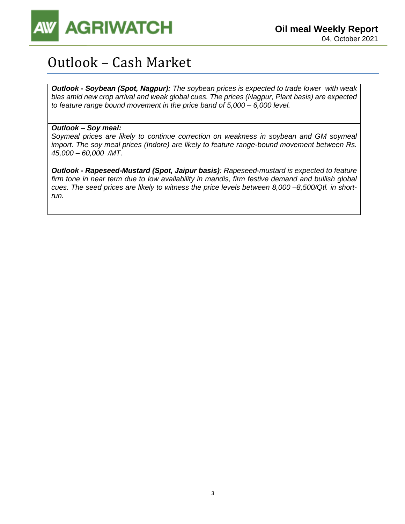

## Outlook – Cash Market

*Outlook - Soybean (Spot, Nagpur): The soybean prices is expected to trade lower with weak bias amid new crop arrival and weak global cues. The prices (Nagpur, Plant basis) are expected to feature range bound movement in the price band of 5,000 – 6,000 level.*

### *Outlook – Soy meal:*

*Soymeal prices are likely to continue correction on weakness in soybean and GM soymeal import. The soy meal prices (Indore) are likely to feature range-bound movement between Rs. 45,000 – 60,000 /MT.*

*Outlook - Rapeseed-Mustard (Spot, Jaipur basis): Rapeseed-mustard is expected to feature firm tone in near term due to low availability in mandis, firm festive demand and bullish global cues. The seed prices are likely to witness the price levels between 8,000 –8,500/Qtl. in shortrun.*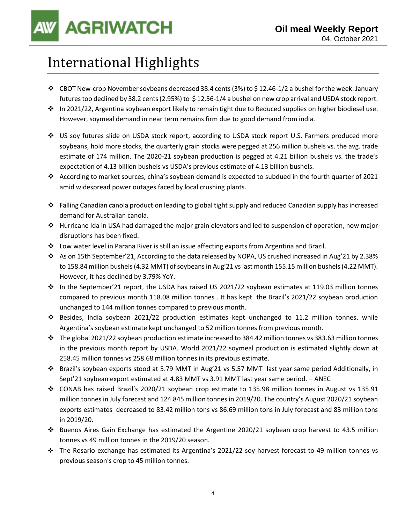## International Highlights

- ❖ CBOT New-crop November soybeans decreased 38.4 cents (3%) to \$ 12.46-1/2 a bushel for the week. January futures too declined by 38.2 cents (2.95%) to \$12.56-1/4 a bushel on new crop arrival and USDA stock report.
- ❖ In 2021/22, Argentina soybean export likely to remain tight due to Reduced supplies on higher biodiesel use. However, soymeal demand in near term remains firm due to good demand from india.
- ❖ US soy futures slide on USDA stock report, according to USDA stock report U.S. Farmers produced more soybeans, hold more stocks, the quarterly grain stocks were pegged at 256 million bushels vs. the avg. trade estimate of 174 million. The 2020-21 soybean production is pegged at 4.21 billion bushels vs. the trade's expectation of 4.13 billion bushels vs USDA's previous estimate of 4.13 billion bushels.
- ❖ According to market sources, china's soybean demand is expected to subdued in the fourth quarter of 2021 amid widespread power outages faced by local crushing plants.
- ❖ Falling Canadian canola production leading to global tight supply and reduced Canadian supply has increased demand for Australian canola.
- ❖ Hurricane Ida in USA had damaged the major grain elevators and led to suspension of operation, now major disruptions has been fixed.
- ❖ Low water level in Parana River is still an issue affecting exports from Argentina and Brazil.
- ❖ As on 15th September'21, According to the data released by NOPA, US crushed increased in Aug'21 by 2.38% to 158.84 million bushels (4.32 MMT) of soybeans in Aug'21 vs last month 155.15 million bushels (4.22 MMT). However, it has declined by 3.79% YoY.
- ❖ In the September'21 report, the USDA has raised US 2021/22 soybean estimates at 119.03 million tonnes compared to previous month 118.08 million tonnes . It has kept the Brazil's 2021/22 soybean production unchanged to 144 million tonnes compared to previous month.
- ❖ Besides, India soybean 2021/22 production estimates kept unchanged to 11.2 million tonnes. while Argentina's soybean estimate kept unchanged to 52 million tonnes from previous month.
- ❖ The global 2021/22 soybean production estimate increased to 384.42 million tonnes vs 383.63 million tonnes in the previous month report by USDA. World 2021/22 soymeal production is estimated slightly down at 258.45 million tonnes vs 258.68 million tonnes in its previous estimate.
- ❖ Brazil's soybean exports stood at 5.79 MMT in Aug'21 vs 5.57 MMT last year same period Additionally, in Sept'21 soybean export estimated at 4.83 MMT vs 3.91 MMT last year same period. – ANEC
- ❖ CONAB has raised Brazil's 2020/21 soybean crop estimate to 135.98 million tonnes in August vs 135.91 million tonnes in July forecast and 124.845 million tonnes in 2019/20. The country's August 2020/21 soybean exports estimates decreased to 83.42 million tons vs 86.69 million tons in July forecast and 83 million tons in 2019/20.
- ❖ Buenos Aires Gain Exchange has estimated the Argentine 2020/21 soybean crop harvest to 43.5 million tonnes vs 49 million tonnes in the 2019/20 season.
- ❖ The Rosario exchange has estimated its Argentina's 2021/22 soy harvest forecast to 49 million tonnes vs previous season's crop to 45 million tonnes.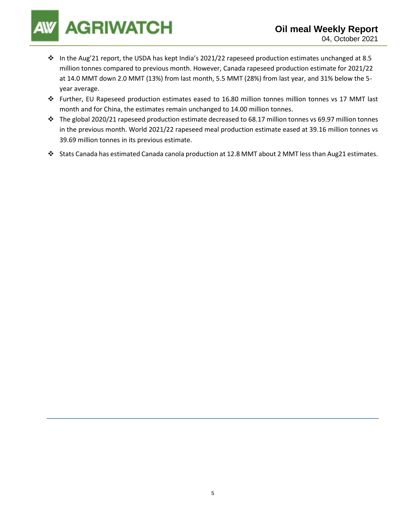- ❖ In the Aug'21 report, the USDA has kept India's 2021/22 rapeseed production estimates unchanged at 8.5 million tonnes compared to previous month. However, Canada rapeseed production estimate for 2021/22 at 14.0 MMT down 2.0 MMT (13%) from last month, 5.5 MMT (28%) from last year, and 31% below the 5 year average.
- ❖ Further, EU Rapeseed production estimates eased to 16.80 million tonnes million tonnes vs 17 MMT last month and for China, the estimates remain unchanged to 14.00 million tonnes.
- ❖ The global 2020/21 rapeseed production estimate decreased to 68.17 million tonnes vs 69.97 million tonnes in the previous month. World 2021/22 rapeseed meal production estimate eased at 39.16 million tonnes vs 39.69 million tonnes in its previous estimate.
- ❖ Stats Canada has estimated Canada canola production at 12.8 MMT about 2 MMT less than Aug21 estimates.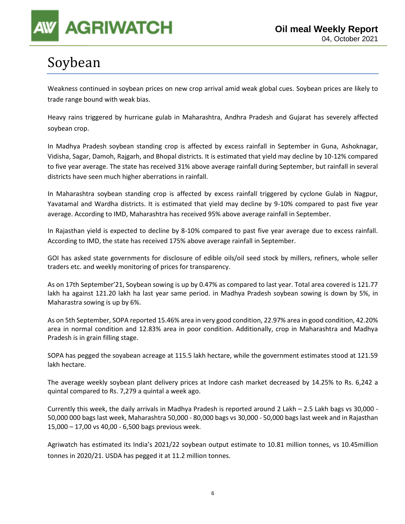

## Soybean

Weakness continued in soybean prices on new crop arrival amid weak global cues. Soybean prices are likely to trade range bound with weak bias.

Heavy rains triggered by hurricane gulab in Maharashtra, Andhra Pradesh and Gujarat has severely affected soybean crop.

In Madhya Pradesh soybean standing crop is affected by excess rainfall in September in Guna, Ashoknagar, Vidisha, Sagar, Damoh, Rajgarh, and Bhopal districts. It is estimated that yield may decline by 10-12% compared to five year average. The state has received 31% above average rainfall during September, but rainfall in several districts have seen much higher aberrations in rainfall.

In Maharashtra soybean standing crop is affected by excess rainfall triggered by cyclone Gulab in Nagpur, Yavatamal and Wardha districts. It is estimated that yield may decline by 9-10% compared to past five year average. According to IMD, Maharashtra has received 95% above average rainfall in September.

In Rajasthan yield is expected to decline by 8-10% compared to past five year average due to excess rainfall. According to IMD, the state has received 175% above average rainfall in September.

GOI has asked state governments for disclosure of edible oils/oil seed stock by millers, refiners, whole seller traders etc. and weekly monitoring of prices for transparency.

As on 17th September'21, Soybean sowing is up by 0.47% as compared to last year. Total area covered is 121.77 lakh ha against 121.20 lakh ha last year same period. in Madhya Pradesh soybean sowing is down by 5%, in Maharastra sowing is up by 6%.

As on 5th September, SOPA reported 15.46% area in very good condition, 22.97% area in good condition, 42.20% area in normal condition and 12.83% area in poor condition. Additionally, crop in Maharashtra and Madhya Pradesh is in grain filling stage.

SOPA has pegged the soyabean acreage at 115.5 lakh hectare, while the government estimates stood at 121.59 lakh hectare.

The average weekly soybean plant delivery prices at Indore cash market decreased by 14.25% to Rs. 6,242 a quintal compared to Rs. 7,279 a quintal a week ago.

Currently this week, the daily arrivals in Madhya Pradesh is reported around 2 Lakh – 2.5 Lakh bags vs 30,000 - 50,000 000 bags last week, Maharashtra 50,000 - 80,000 bags vs 30,000 - 50,000 bags last week and in Rajasthan 15,000 – 17,00 vs 40,00 - 6,500 bags previous week.

Agriwatch has estimated its India's 2021/22 soybean output estimate to 10.81 million tonnes, vs 10.45million tonnes in 2020/21. USDA has pegged it at 11.2 million tonnes.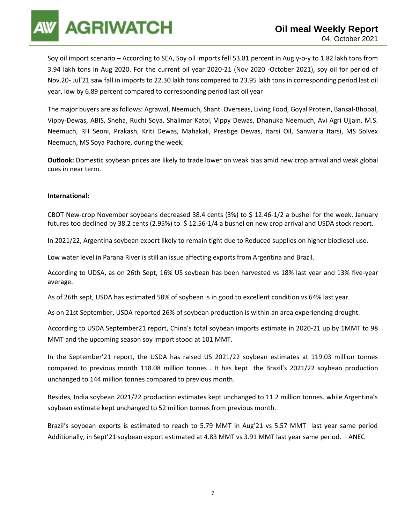Soy oil import scenario – According to SEA, Soy oil imports fell 53.81 percent in Aug y-o-y to 1.82 lakh tons from 3.94 lakh tons in Aug 2020. For the current oil year 2020-21 (Nov 2020 -October 2021), soy oil for period of Nov.20- Jul'21 saw fall in imports to 22.30 lakh tons compared to 23.95 lakh tons in corresponding period last oil year, low by 6.89 percent compared to corresponding period last oil year

The major buyers are as follows: Agrawal, Neemuch, Shanti Overseas, Living Food, Goyal Protein, Bansal-Bhopal, Vippy-Dewas, ABIS, Sneha, Ruchi Soya, Shalimar Katol, Vippy Dewas, Dhanuka Neemuch, Avi Agri Ujjain, M.S. Neemuch, RH Seoni, Prakash, Kriti Dewas, Mahakali, Prestige Dewas, Itarsi Oil, Sanwaria Itarsi, MS Solvex Neemuch, MS Soya Pachore, during the week.

**Outlook:** Domestic soybean prices are likely to trade lower on weak bias amid new crop arrival and weak global cues in near term.

### **International:**

CBOT New-crop November soybeans decreased 38.4 cents (3%) to \$ 12.46-1/2 a bushel for the week. January futures too declined by 38.2 cents (2.95%) to \$12.56-1/4 a bushel on new crop arrival and USDA stock report.

In 2021/22, Argentina soybean export likely to remain tight due to Reduced supplies on higher biodiesel use.

Low water level in Parana River is still an issue affecting exports from Argentina and Brazil.

According to UDSA, as on 26th Sept, 16% US soybean has been harvested vs 18% last year and 13% five-year average.

As of 26th sept, USDA has estimated 58% of soybean is in good to excellent condition vs 64% last year.

As on 21st September, USDA reported 26% of soybean production is within an area experiencing drought.

According to USDA September21 report, China's total soybean imports estimate in 2020-21 up by 1MMT to 98 MMT and the upcoming season soy import stood at 101 MMT.

In the September'21 report, the USDA has raised US 2021/22 soybean estimates at 119.03 million tonnes compared to previous month 118.08 million tonnes . It has kept the Brazil's 2021/22 soybean production unchanged to 144 million tonnes compared to previous month.

Besides, India soybean 2021/22 production estimates kept unchanged to 11.2 million tonnes. while Argentina's soybean estimate kept unchanged to 52 million tonnes from previous month.

Brazil's soybean exports is estimated to reach to 5.79 MMT in Aug'21 vs 5.57 MMT last year same period Additionally, in Sept'21 soybean export estimated at 4.83 MMT vs 3.91 MMT last year same period. – ANEC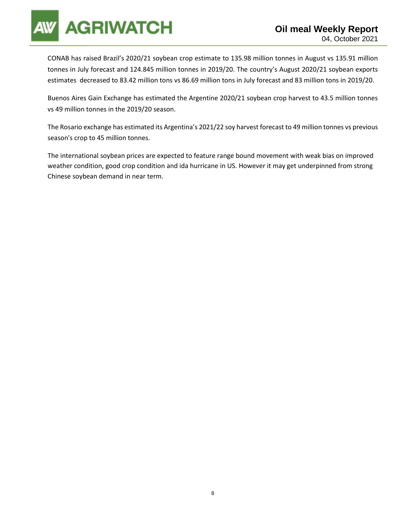

CONAB has raised Brazil's 2020/21 soybean crop estimate to 135.98 million tonnes in August vs 135.91 million tonnes in July forecast and 124.845 million tonnes in 2019/20. The country's August 2020/21 soybean exports estimates decreased to 83.42 million tons vs 86.69 million tons in July forecast and 83 million tons in 2019/20.

Buenos Aires Gain Exchange has estimated the Argentine 2020/21 soybean crop harvest to 43.5 million tonnes vs 49 million tonnes in the 2019/20 season.

The Rosario exchange has estimated its Argentina's 2021/22 soy harvest forecast to 49 million tonnes vs previous season's crop to 45 million tonnes.

The international soybean prices are expected to feature range bound movement with weak bias on improved weather condition, good crop condition and ida hurricane in US. However it may get underpinned from strong Chinese soybean demand in near term.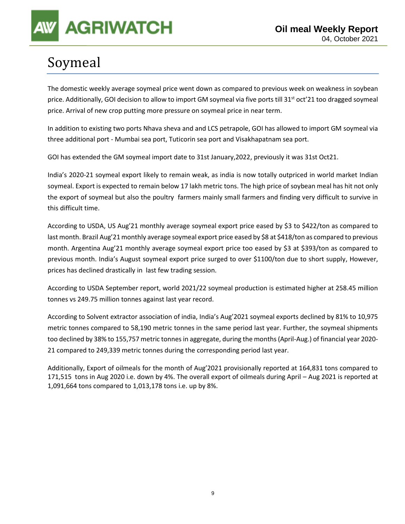## Soymeal

The domestic weekly average soymeal price went down as compared to previous week on weakness in soybean price. Additionally, GOI decision to allow to import GM soymeal via five ports till 31<sup>st</sup> oct'21 too dragged soymeal price. Arrival of new crop putting more pressure on soymeal price in near term.

In addition to existing two ports Nhava sheva and and LCS petrapole, GOI has allowed to import GM soymeal via three additional port - Mumbai sea port, Tuticorin sea port and Visakhapatnam sea port.

GOI has extended the GM soymeal import date to 31st January,2022, previously it was 31st Oct21.

India's 2020-21 soymeal export likely to remain weak, as india is now totally outpriced in world market Indian soymeal. Export is expected to remain below 17 lakh metric tons. The high price of soybean meal has hit not only the export of soymeal but also the poultry farmers mainly small farmers and finding very difficult to survive in this difficult time.

According to USDA, US Aug'21 monthly average soymeal export price eased by \$3 to \$422/ton as compared to last month. Brazil Aug'21 monthly average soymeal export price eased by \$8 at \$418/ton as compared to previous month. Argentina Aug'21 monthly average soymeal export price too eased by \$3 at \$393/ton as compared to previous month. India's August soymeal export price surged to over \$1100/ton due to short supply, However, prices has declined drastically in last few trading session.

According to USDA September report, world 2021/22 soymeal production is estimated higher at 258.45 million tonnes vs 249.75 million tonnes against last year record.

According to Solvent extractor association of india, India's Aug'2021 soymeal exports declined by 81% to 10,975 metric tonnes compared to 58,190 metric tonnes in the same period last year. Further, the soymeal shipments too declined by 38% to 155,757 metric tonnes in aggregate, during the months (April-Aug.) of financial year 2020- 21 compared to 249,339 metric tonnes during the corresponding period last year.

Additionally, Export of oilmeals for the month of Aug'2021 provisionally reported at 164,831 tons compared to 171,515 tons in Aug 2020 i.e. down by 4%. The overall export of oilmeals during April – Aug 2021 is reported at 1,091,664 tons compared to 1,013,178 tons i.e. up by 8%.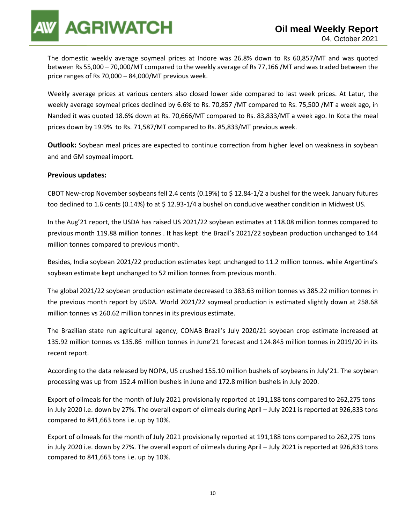The domestic weekly average soymeal prices at Indore was 26.8% down to Rs 60,857/MT and was quoted between Rs 55,000 – 70,000/MT compared to the weekly average of Rs 77,166 /MT and was traded between the price ranges of Rs 70,000 – 84,000/MT previous week.

Weekly average prices at various centers also closed lower side compared to last week prices. At Latur, the weekly average soymeal prices declined by 6.6% to Rs. 70,857 /MT compared to Rs. 75,500 /MT a week ago, in Nanded it was quoted 18.6% down at Rs. 70,666/MT compared to Rs. 83,833/MT a week ago. In Kota the meal prices down by 19.9% to Rs. 71,587/MT compared to Rs. 85,833/MT previous week.

**Outlook:** Soybean meal prices are expected to continue correction from higher level on weakness in soybean and and GM soymeal import.

### **Previous updates:**

CBOT New-crop November soybeans fell 2.4 cents (0.19%) to \$ 12.84-1/2 a bushel for the week. January futures too declined to 1.6 cents (0.14%) to at \$12.93-1/4 a bushel on conducive weather condition in Midwest US.

In the Aug'21 report, the USDA has raised US 2021/22 soybean estimates at 118.08 million tonnes compared to previous month 119.88 million tonnes . It has kept the Brazil's 2021/22 soybean production unchanged to 144 million tonnes compared to previous month.

Besides, India soybean 2021/22 production estimates kept unchanged to 11.2 million tonnes. while Argentina's soybean estimate kept unchanged to 52 million tonnes from previous month.

The global 2021/22 soybean production estimate decreased to 383.63 million tonnes vs 385.22 million tonnes in the previous month report by USDA. World 2021/22 soymeal production is estimated slightly down at 258.68 million tonnes vs 260.62 million tonnes in its previous estimate.

The Brazilian state run agricultural agency, CONAB Brazil's July 2020/21 soybean crop estimate increased at 135.92 million tonnes vs 135.86 million tonnes in June'21 forecast and 124.845 million tonnes in 2019/20 in its recent report.

According to the data released by NOPA, US crushed 155.10 million bushels of soybeans in July'21. The soybean processing was up from 152.4 million bushels in June and 172.8 million bushels in July 2020.

Export of oilmeals for the month of July 2021 provisionally reported at 191,188 tons compared to 262,275 tons in July 2020 i.e. down by 27%. The overall export of oilmeals during April – July 2021 is reported at 926,833 tons compared to 841,663 tons i.e. up by 10%.

Export of oilmeals for the month of July 2021 provisionally reported at 191,188 tons compared to 262,275 tons in July 2020 i.e. down by 27%. The overall export of oilmeals during April – July 2021 is reported at 926,833 tons compared to 841,663 tons i.e. up by 10%.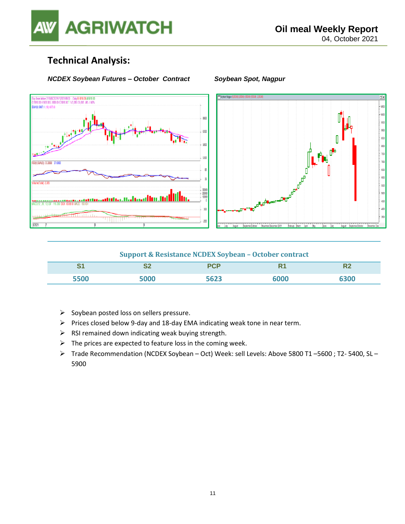

### **Technical Analysis:**

### *NCDEX Soybean Futures – October Contract Soybean Spot, Nagpur*





### **Support & Resistance NCDEX Soybean – October contract**

| $\sim$<br>∾. | __<br>$\sim$ | ___ |  |
|--------------|--------------|-----|--|
|              |              |     |  |

- ➢ Soybean posted loss on sellers pressure.
- ➢ Prices closed below 9-day and 18-day EMA indicating weak tone in near term.
- $\triangleright$  RSI remained down indicating weak buying strength.
- $\triangleright$  The prices are expected to feature loss in the coming week.
- ➢ Trade Recommendation (NCDEX Soybean Oct) Week: sell Levels: Above 5800 T1 –5600 ; T2- 5400, SL 5900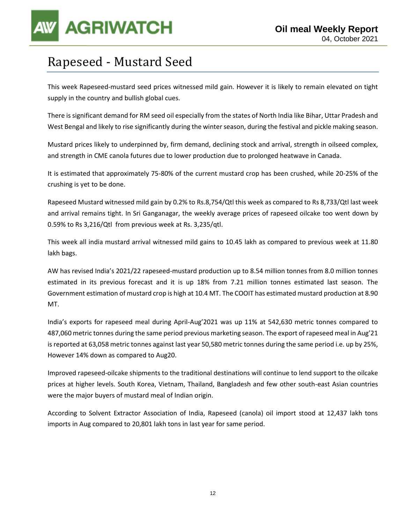## Rapeseed - Mustard Seed

This week Rapeseed-mustard seed prices witnessed mild gain. However it is likely to remain elevated on tight supply in the country and bullish global cues.

There is significant demand for RM seed oil especially from the states of North India like Bihar, Uttar Pradesh and West Bengal and likely to rise significantly during the winter season, during the festival and pickle making season.

Mustard prices likely to underpinned by, firm demand, declining stock and arrival, strength in oilseed complex, and strength in CME canola futures due to lower production due to prolonged heatwave in Canada.

It is estimated that approximately 75-80% of the current mustard crop has been crushed, while 20-25% of the crushing is yet to be done.

Rapeseed Mustard witnessed mild gain by 0.2% to Rs.8,754/Qtl this week as compared to Rs 8,733/Qtl last week and arrival remains tight. In Sri Ganganagar, the weekly average prices of rapeseed oilcake too went down by 0.59% to Rs 3,216/Qtl from previous week at Rs. 3,235/qtl.

This week all india mustard arrival witnessed mild gains to 10.45 lakh as compared to previous week at 11.80 lakh bags.

AW has revised India's 2021/22 rapeseed-mustard production up to 8.54 million tonnes from 8.0 million tonnes estimated in its previous forecast and it is up 18% from 7.21 million tonnes estimated last season. The Government estimation of mustard crop is high at 10.4 MT. The COOIT has estimated mustard production at 8.90 MT.

India's exports for rapeseed meal during April-Aug'2021 was up 11% at 542,630 metric tonnes compared to 487,060 metric tonnes during the same period previous marketing season. The export of rapeseed meal in Aug'21 is reported at 63,058 metric tonnes against last year 50,580 metric tonnes during the same period i.e. up by 25%, However 14% down as compared to Aug20.

Improved rapeseed-oilcake shipments to the traditional destinations will continue to lend support to the oilcake prices at higher levels. South Korea, Vietnam, Thailand, Bangladesh and few other south-east Asian countries were the major buyers of mustard meal of Indian origin.

According to Solvent Extractor Association of India, Rapeseed (canola) oil import stood at 12,437 lakh tons imports in Aug compared to 20,801 lakh tons in last year for same period.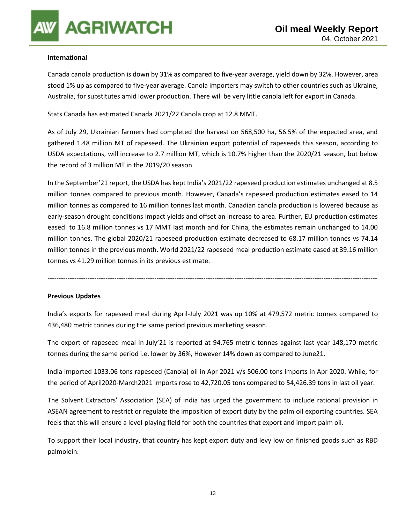### **International**

Canada canola production is down by 31% as compared to five-year average, yield down by 32%. However, area stood 1% up as compared to five-year average. Canola importers may switch to other countries such as Ukraine, Australia, for substitutes amid lower production. There will be very little canola left for export in Canada.

Stats Canada has estimated Canada 2021/22 Canola crop at 12.8 MMT.

As of July 29, Ukrainian farmers had completed the harvest on 568,500 ha, 56.5% of the expected area, and gathered 1.48 million MT of rapeseed. The Ukrainian export potential of rapeseeds this season, according to USDA expectations, will increase to 2.7 million MT, which is 10.7% higher than the 2020/21 season, but below the record of 3 million MT in the 2019/20 season.

In the September'21 report, the USDA has kept India's 2021/22 rapeseed production estimates unchanged at 8.5 million tonnes compared to previous month. However, Canada's rapeseed production estimates eased to 14 million tonnes as compared to 16 million tonnes last month. Canadian canola production is lowered because as early-season drought conditions impact yields and offset an increase to area. Further, EU production estimates eased to 16.8 million tonnes vs 17 MMT last month and for China, the estimates remain unchanged to 14.00 million tonnes. The global 2020/21 rapeseed production estimate decreased to 68.17 million tonnes vs 74.14 million tonnes in the previous month. World 2021/22 rapeseed meal production estimate eased at 39.16 million tonnes vs 41.29 million tonnes in its previous estimate.

----------------------------------------------------------------------------------------------------------------------------------------------------

### **Previous Updates**

India's exports for rapeseed meal during April-July 2021 was up 10% at 479,572 metric tonnes compared to 436,480 metric tonnes during the same period previous marketing season.

The export of rapeseed meal in July'21 is reported at 94,765 metric tonnes against last year 148,170 metric tonnes during the same period i.e. lower by 36%, However 14% down as compared to June21.

India imported 1033.06 tons rapeseed (Canola) oil in Apr 2021 v/s 506.00 tons imports in Apr 2020. While, for the period of April2020-March2021 imports rose to 42,720.05 tons compared to 54,426.39 tons in last oil year.

The Solvent Extractors' Association (SEA) of India has urged the government to include rational provision in ASEAN agreement to restrict or regulate the imposition of export duty by the palm oil exporting countries. SEA feels that this will ensure a level-playing field for both the countries that export and import palm oil.

To support their local industry, that country has kept export duty and levy low on finished goods such as RBD palmolein.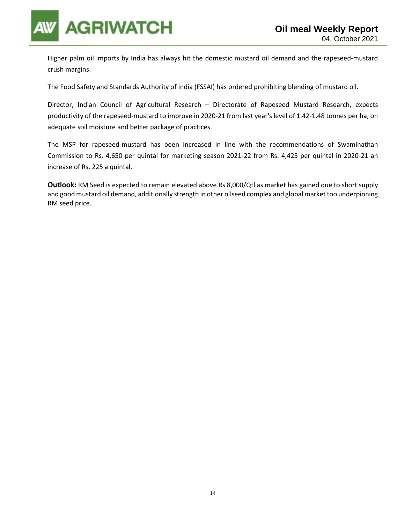

Higher palm oil imports by India has always hit the domestic mustard oil demand and the rapeseed-mustard crush margins.

The Food Safety and Standards Authority of India (FSSAI) has ordered prohibiting blending of mustard oil.

Director, Indian Council of Agricultural Research – Directorate of Rapeseed Mustard Research, expects productivity of the rapeseed-mustard to improve in 2020-21 from last year's level of 1.42-1.48 tonnes per ha, on adequate soil moisture and better package of practices.

The MSP for rapeseed-mustard has been increased in line with the recommendations of Swaminathan Commission to Rs. 4,650 per quintal for marketing season 2021-22 from Rs. 4,425 per quintal in 2020-21 an increase of Rs. 225 a quintal.

**Outlook:** RM Seed is expected to remain elevated above Rs 8,000/Qtl as market has gained due to short supply and good mustard oil demand, additionally strength in other oilseed complex and global market too underpinning RM seed price.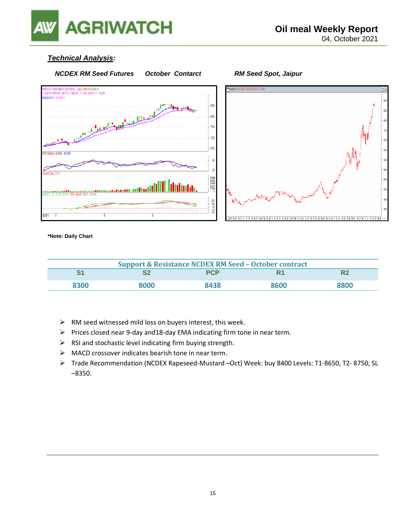

### *Technical Analysis:*



**\*Note: Daily Chart**

| <b>Support &amp; Resistance NCDEX RM Seed - October contract</b> |      |            |      |      |  |
|------------------------------------------------------------------|------|------------|------|------|--|
|                                                                  |      | <b>PCP</b> |      |      |  |
| 8300                                                             | 3000 | 8438       | 8600 | 8800 |  |

- ➢ RM seed witnessed mild loss on buyers interest, this week.
- ➢ Prices closed near 9-day and18-day EMA indicating firm tone in near term.
- $\triangleright$  RSI and stochastic level indicating firm buying strength.
- ➢ MACD crossover indicates bearish tone in near term.
- ➢ Trade Recommendation (NCDEX Rapeseed-Mustard –Oct) Week: buy 8400 Levels: T1-8650, T2- 8750, SL –8350.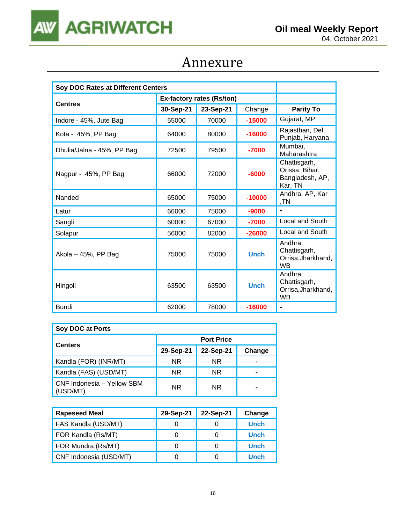

## Annexure

| Soy DOC Rates at Different Centers |                                  |           |             |                                                              |
|------------------------------------|----------------------------------|-----------|-------------|--------------------------------------------------------------|
|                                    | <b>Ex-factory rates (Rs/ton)</b> |           |             |                                                              |
| <b>Centres</b>                     | 30-Sep-21                        | 23-Sep-21 | Change      | <b>Parity To</b>                                             |
| Indore - 45%, Jute Bag             | 55000                            | 70000     | $-15000$    | Gujarat, MP                                                  |
| Kota - 45%, PP Bag                 | 64000                            | 80000     | $-16000$    | Rajasthan, Del,<br>Punjab, Haryana                           |
| Dhulia/Jalna - 45%, PP Bag         | 72500                            | 79500     | $-7000$     | Mumbai,<br>Maharashtra                                       |
| Nagpur - 45%, PP Bag               | 66000                            | 72000     | $-6000$     | Chattisgarh,<br>Orissa, Bihar,<br>Bangladesh, AP,<br>Kar, TN |
| Nanded                             | 65000                            | 75000     | $-10000$    | Andhra, AP, Kar<br>,TN                                       |
| Latur                              | 66000                            | 75000     | $-9000$     |                                                              |
| Sangli                             | 60000                            | 67000     | $-7000$     | Local and South                                              |
| Solapur                            | 56000                            | 82000     | $-26000$    | Local and South                                              |
| Akola - 45%, PP Bag                | 75000                            | 75000     | <b>Unch</b> | Andhra,<br>Chattisgarh,<br>Orrisa, Jharkhand,<br><b>WB</b>   |
| Hingoli                            | 63500                            | 63500     | <b>Unch</b> | Andhra,<br>Chattisgarh,<br>Orrisa, Jharkhand,<br><b>WB</b>   |
| <b>Bundi</b>                       | 62000                            | 78000     | $-16000$    | $\blacksquare$                                               |

| Soy DOC at Ports                       |                   |           |        |  |  |
|----------------------------------------|-------------------|-----------|--------|--|--|
| <b>Centers</b>                         | <b>Port Price</b> |           |        |  |  |
|                                        | 29-Sep-21         | 22-Sep-21 | Change |  |  |
| Kandla (FOR) (INR/MT)                  | <b>NR</b>         | <b>NR</b> |        |  |  |
| Kandla (FAS) (USD/MT)                  | <b>NR</b>         | NR.       |        |  |  |
| CNF Indonesia - Yellow SBM<br>(USD/MT) | <b>NR</b>         | <b>NR</b> | -      |  |  |

| <b>Rapeseed Meal</b>   | 29-Sep-21 | 22-Sep-21 | Change      |
|------------------------|-----------|-----------|-------------|
| FAS Kandla (USD/MT)    |           |           | <b>Unch</b> |
| FOR Kandla (Rs/MT)     |           |           | <b>Unch</b> |
| FOR Mundra (Rs/MT)     |           |           | <b>Unch</b> |
| CNF Indonesia (USD/MT) |           |           | <b>Unch</b> |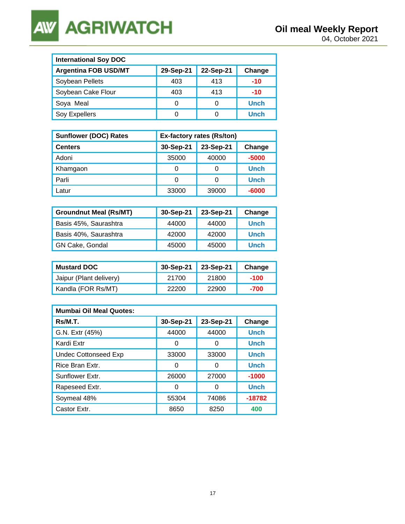**AGRIWATCH AW** 

| <b>International Soy DOC</b> |           |           |             |  |  |
|------------------------------|-----------|-----------|-------------|--|--|
| <b>Argentina FOB USD/MT</b>  | 29-Sep-21 | 22-Sep-21 | Change      |  |  |
| Soybean Pellets              | 403       | 413       | $-10$       |  |  |
| Soybean Cake Flour           | 403       | 413       | $-10$       |  |  |
| Soya Meal                    | 0         |           | <b>Unch</b> |  |  |
| Soy Expellers                | O         |           | <b>Unch</b> |  |  |

| <b>Sunflower (DOC) Rates</b> | Ex-factory rates (Rs/ton) |           |             |  |
|------------------------------|---------------------------|-----------|-------------|--|
| <b>Centers</b>               | 30-Sep-21                 | 23-Sep-21 | Change      |  |
| Adoni                        | 35000                     | 40000     | $-5000$     |  |
| Khamgaon                     | Ω                         | 0         | <b>Unch</b> |  |
| Parli                        | Ω                         | 0         | <b>Unch</b> |  |
| Latur                        | 33000                     | 39000     | $-6000$     |  |

| <b>Groundnut Meal (Rs/MT)</b> | 30-Sep-21 | 23-Sep-21 | Change      |
|-------------------------------|-----------|-----------|-------------|
| Basis 45%, Saurashtra         | 44000     | 44000     | <b>Unch</b> |
| Basis 40%, Saurashtra         | 42000     | 42000     | <b>Unch</b> |
| GN Cake, Gondal               | 45000     | 45000     | <b>Unch</b> |

| <b>Mustard DOC</b>      | 30-Sep-21 | 23-Sep-21 | Change |
|-------------------------|-----------|-----------|--------|
| Jaipur (Plant delivery) | 21700     | 21800     | $-100$ |
| Kandla (FOR Rs/MT)      | 22200     | 22900     | -700   |

| <b>Mumbai Oil Meal Quotes:</b> |           |           |             |  |  |
|--------------------------------|-----------|-----------|-------------|--|--|
| Rs/M.T.                        | 30-Sep-21 | 23-Sep-21 | Change      |  |  |
| G.N. Extr (45%)                | 44000     | 44000     | <b>Unch</b> |  |  |
| Kardi Extr                     | O         | O         | <b>Unch</b> |  |  |
| <b>Undec Cottonseed Exp</b>    | 33000     | 33000     | <b>Unch</b> |  |  |
| Rice Bran Extr.                | 0         | O         | <b>Unch</b> |  |  |
| Sunflower Extr.                | 26000     | 27000     | $-1000$     |  |  |
| Rapeseed Extr.                 | O         | 0         | <b>Unch</b> |  |  |
| Soymeal 48%                    | 55304     | 74086     | $-18782$    |  |  |
| Castor Extr.                   | 8650      | 8250      | 400         |  |  |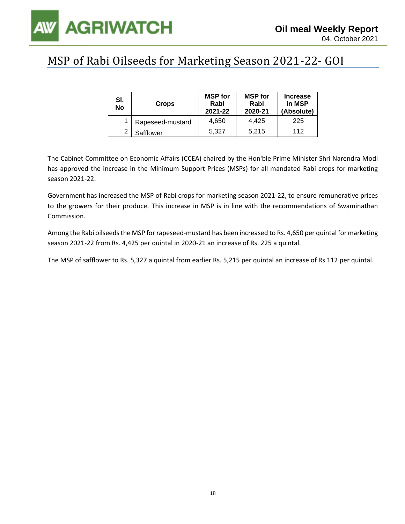

### MSP of Rabi Oilseeds for Marketing Season 2021-22- GOI

| SI.<br>No | <b>Crops</b>     | <b>MSP</b> for<br>Rabi<br>2021-22 | <b>MSP</b> for<br>Rabi<br>2020-21 | <b>Increase</b><br>in MSP<br>(Absolute) |
|-----------|------------------|-----------------------------------|-----------------------------------|-----------------------------------------|
|           | Rapeseed-mustard | 4.650                             | 4.425                             | 225                                     |
| າ         | Safflower        | 5.327                             | 5.215                             | 112                                     |

The Cabinet Committee on Economic Affairs (CCEA) chaired by the Hon'ble Prime Minister Shri Narendra Modi has approved the increase in the Minimum Support Prices (MSPs) for all mandated Rabi crops for marketing season 2021-22.

Government has increased the MSP of Rabi crops for marketing season 2021-22, to ensure remunerative prices to the growers for their produce. This increase in MSP is in line with the recommendations of Swaminathan Commission.

Among the Rabi oilseeds the MSP for rapeseed-mustard has been increased to Rs. 4,650 per quintal for marketing season 2021-22 from Rs. 4,425 per quintal in 2020-21 an increase of Rs. 225 a quintal.

The MSP of safflower to Rs. 5,327 a quintal from earlier Rs. 5,215 per quintal an increase of Rs 112 per quintal.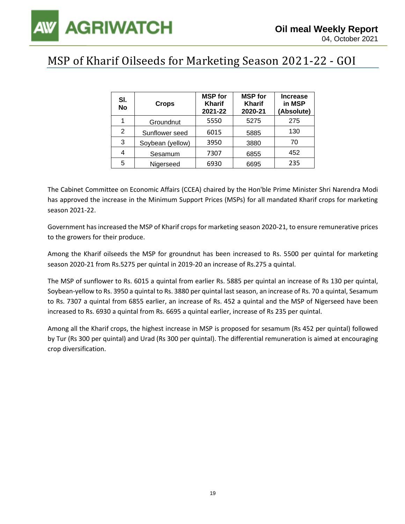## MSP of Kharif Oilseeds for Marketing Season 2021-22 - GOI

| SI.<br><b>No</b> | <b>Crops</b>     | <b>MSP</b> for<br><b>Kharif</b><br>2021-22 | <b>MSP</b> for<br><b>Kharif</b><br>2020-21 | <b>Increase</b><br>in MSP<br>(Absolute) |
|------------------|------------------|--------------------------------------------|--------------------------------------------|-----------------------------------------|
| 1                | Groundnut        | 5550                                       | 5275                                       | 275                                     |
| 2                | Sunflower seed   | 6015                                       | 5885                                       | 130                                     |
| 3                | Soybean (yellow) | 3950                                       | 3880                                       | 70                                      |
| 4                | Sesamum          | 7307                                       | 6855                                       | 452                                     |
| 5                | Nigerseed        | 6930                                       | 6695                                       | 235                                     |

The Cabinet Committee on Economic Affairs (CCEA) chaired by the Hon'ble Prime Minister Shri Narendra Modi has approved the increase in the Minimum Support Prices (MSPs) for all mandated Kharif crops for marketing season 2021-22.

Government has increased the MSP of Kharif crops for marketing season 2020-21, to ensure remunerative prices to the growers for their produce.

Among the Kharif oilseeds the MSP for groundnut has been increased to Rs. 5500 per quintal for marketing season 2020-21 from Rs.5275 per quintal in 2019-20 an increase of Rs.275 a quintal.

The MSP of sunflower to Rs. 6015 a quintal from earlier Rs. 5885 per quintal an increase of Rs 130 per quintal, Soybean-yellow to Rs. 3950 a quintal to Rs. 3880 per quintal last season, an increase of Rs. 70 a quintal, Sesamum to Rs. 7307 a quintal from 6855 earlier, an increase of Rs. 452 a quintal and the MSP of Nigerseed have been increased to Rs. 6930 a quintal from Rs. 6695 a quintal earlier, increase of Rs 235 per quintal.

Among all the Kharif crops, the highest increase in MSP is proposed for sesamum (Rs 452 per quintal) followed by Tur (Rs 300 per quintal) and Urad (Rs 300 per quintal). The differential remuneration is aimed at encouraging crop diversification.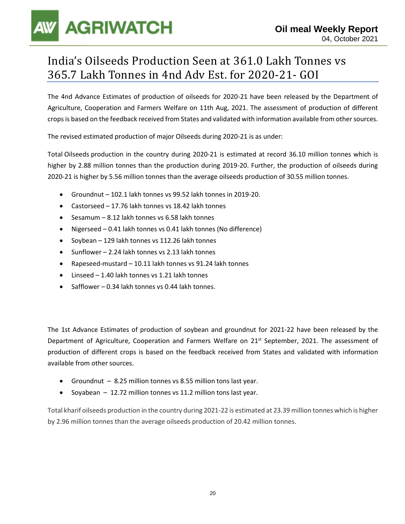## India's Oilseeds Production Seen at 361.0 Lakh Tonnes vs 365.7 Lakh Tonnes in 4nd Adv Est. for 2020-21- GOI

The 4nd Advance Estimates of production of oilseeds for 2020-21 have been released by the Department of Agriculture, Cooperation and Farmers Welfare on 11th Aug, 2021. The assessment of production of different crops is based on the feedback received from States and validated with information available from other sources.

The revised estimated production of major Oilseeds during 2020-21 is as under:

Total Oilseeds production in the country during 2020-21 is estimated at record 36.10 million tonnes which is higher by 2.88 million tonnes than the production during 2019-20. Further, the production of oilseeds during 2020-21 is higher by 5.56 million tonnes than the average oilseeds production of 30.55 million tonnes.

- Groundnut 102.1 lakh tonnes vs 99.52 lakh tonnes in 2019-20.
- Castorseed 17.76 lakh tonnes vs 18.42 lakh tonnes
- Sesamum 8.12 lakh tonnes vs 6.58 lakh tonnes
- Nigerseed 0.41 lakh tonnes vs 0.41 lakh tonnes (No difference)
- Soybean 129 lakh tonnes vs 112.26 lakh tonnes
- Sunflower 2.24 lakh tonnes vs 2.13 lakh tonnes
- Rapeseed-mustard 10.11 lakh tonnes vs 91.24 lakh tonnes
- Linseed 1.40 lakh tonnes vs 1.21 lakh tonnes
- Safflower 0.34 lakh tonnes vs 0.44 lakh tonnes.

The 1st Advance Estimates of production of soybean and groundnut for 2021-22 have been released by the Department of Agriculture, Cooperation and Farmers Welfare on 21<sup>st</sup> September, 2021. The assessment of production of different crops is based on the feedback received from States and validated with information available from other sources.

- Groundnut 8.25 million tonnes vs 8.55 million tons last year.
- Soyabean 12.72 million tonnes vs 11.2 million tons last year.

Total kharif oilseeds production in the country during 2021-22 is estimated at 23.39 million tonnes which is higher by 2.96 million tonnes than the average oilseeds production of 20.42 million tonnes.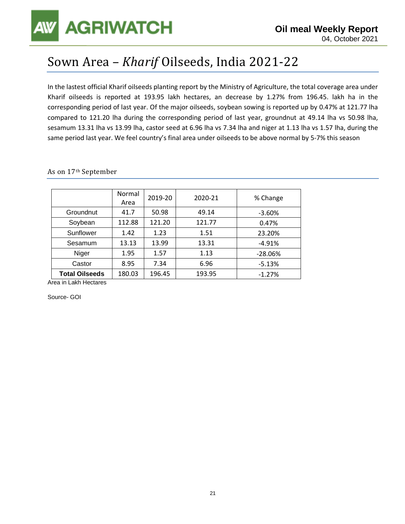## Sown Area – *Kharif* Oilseeds, India 2021-22

In the lastest official Kharif oilseeds planting report by the Ministry of Agriculture, the total coverage area under Kharif oilseeds is reported at 193.95 lakh hectares, an decrease by 1.27% from 196.45. lakh ha in the corresponding period of last year. Of the major oilseeds, soybean sowing is reported up by 0.47% at 121.77 lha compared to 121.20 lha during the corresponding period of last year, groundnut at 49.14 lha vs 50.98 lha, sesamum 13.31 lha vs 13.99 lha, castor seed at 6.96 lha vs 7.34 lha and niger at 1.13 lha vs 1.57 lha, during the same period last year. We feel country's final area under oilseeds to be above normal by 5-7% this season

|                       | Normal<br>Area | 2019-20 | 2020-21 | % Change  |
|-----------------------|----------------|---------|---------|-----------|
| Groundnut             | 41.7           | 50.98   | 49.14   | $-3.60%$  |
| Soybean               | 112.88         | 121.20  | 121.77  | 0.47%     |
| Sunflower             | 1.42           | 1.23    | 1.51    | 23.20%    |
| Sesamum               | 13.13          | 13.99   | 13.31   | $-4.91%$  |
| Niger                 | 1.95           | 1.57    | 1.13    | $-28.06%$ |
| Castor                | 8.95           | 7.34    | 6.96    | $-5.13%$  |
| <b>Total Oilseeds</b> | 180.03         | 196.45  | 193.95  | $-1.27%$  |

### As on 17th September

Area in Lakh Hectares

Source- GOI